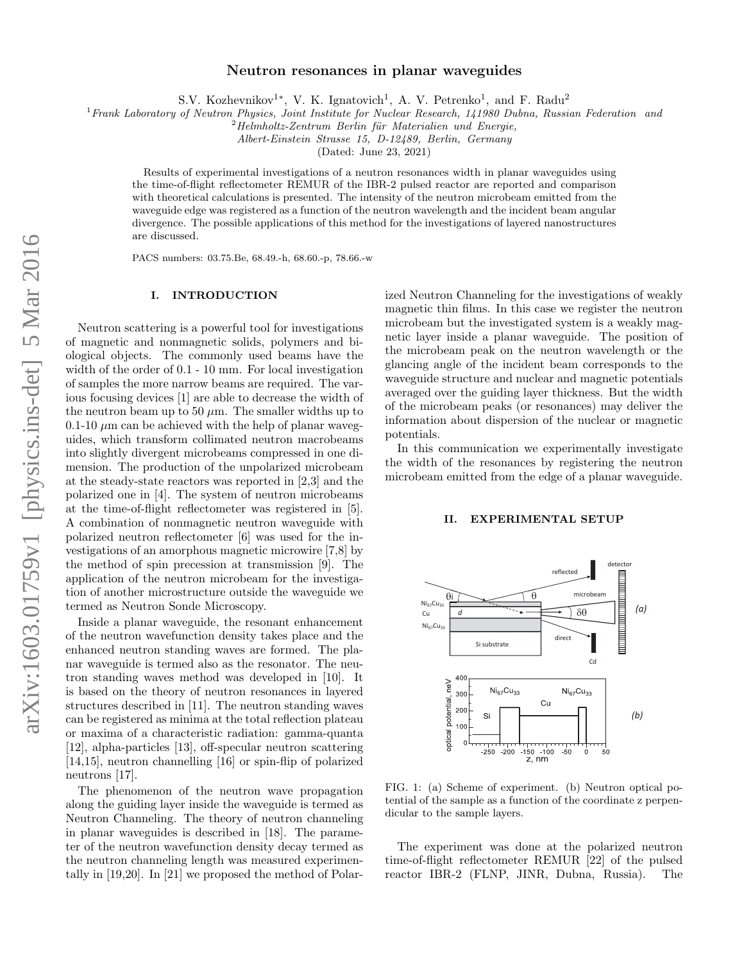# Neutron resonances in planar waveguides

S.V. Kozhevnikov<sup>1\*</sup>, V. K. Ignatovich<sup>1</sup>, A. V. Petrenko<sup>1</sup>, and F. Radu<sup>2</sup>

<sup>1</sup> Frank Laboratory of Neutron Physics, Joint Institute for Nuclear Research, 141980 Dubna, Russian Federation and

 $2$ Helmholtz-Zentrum Berlin für Materialien und Energie,

Albert-Einstein Strasse 15, D-12489, Berlin, Germany

(Dated: June 23, 2021)

Results of experimental investigations of a neutron resonances width in planar waveguides using the time-of-flight reflectometer REMUR of the IBR-2 pulsed reactor are reported and comparison with theoretical calculations is presented. The intensity of the neutron microbeam emitted from the waveguide edge was registered as a function of the neutron wavelength and the incident beam angular divergence. The possible applications of this method for the investigations of layered nanostructures are discussed.

PACS numbers: 03.75.Be, 68.49.-h, 68.60.-p, 78.66.-w

## I. INTRODUCTION

Neutron scattering is a powerful tool for investigations of magnetic and nonmagnetic solids, polymers and biological objects. The commonly used beams have the width of the order of 0.1 - 10 mm. For local investigation of samples the more narrow beams are required. The various focusing devices [1] are able to decrease the width of the neutron beam up to 50  $\mu$ m. The smaller widths up to 0.1-10  $\mu$ m can be achieved with the help of planar waveguides, which transform collimated neutron macrobeams into slightly divergent microbeams compressed in one dimension. The production of the unpolarized microbeam at the steady-state reactors was reported in [2,3] and the polarized one in [4]. The system of neutron microbeams at the time-of-flight reflectometer was registered in [5]. A combination of nonmagnetic neutron waveguide with polarized neutron reflectometer [6] was used for the investigations of an amorphous magnetic microwire [7,8] by the method of spin precession at transmission [9]. The application of the neutron microbeam for the investigation of another microstructure outside the waveguide we termed as Neutron Sonde Microscopy.

Inside a planar waveguide, the resonant enhancement of the neutron wavefunction density takes place and the enhanced neutron standing waves are formed. The planar waveguide is termed also as the resonator. The neutron standing waves method was developed in [10]. It is based on the theory of neutron resonances in layered structures described in [11]. The neutron standing waves can be registered as minima at the total reflection plateau or maxima of a characteristic radiation: gamma-quanta [12], alpha-particles [13], off-specular neutron scattering [14,15], neutron channelling [16] or spin-flip of polarized neutrons [17].

The phenomenon of the neutron wave propagation along the guiding layer inside the waveguide is termed as Neutron Channeling. The theory of neutron channeling in planar waveguides is described in [18]. The parameter of the neutron wavefunction density decay termed as the neutron channeling length was measured experimentally in [19,20]. In [21] we proposed the method of Polarized Neutron Channeling for the investigations of weakly magnetic thin films. In this case we register the neutron microbeam but the investigated system is a weakly magnetic layer inside a planar waveguide. The position of the microbeam peak on the neutron wavelength or the glancing angle of the incident beam corresponds to the waveguide structure and nuclear and magnetic potentials averaged over the guiding layer thickness. But the width of the microbeam peaks (or resonances) may deliver the information about dispersion of the nuclear or magnetic potentials.

In this communication we experimentally investigate the width of the resonances by registering the neutron microbeam emitted from the edge of a planar waveguide.

# II. EXPERIMENTAL SETUP



FIG. 1: (a) Scheme of experiment. (b) Neutron optical potential of the sample as a function of the coordinate z perpendicular to the sample layers.

The experiment was done at the polarized neutron time-of-flight reflectometer REMUR [22] of the pulsed reactor IBR-2 (FLNP, JINR, Dubna, Russia). The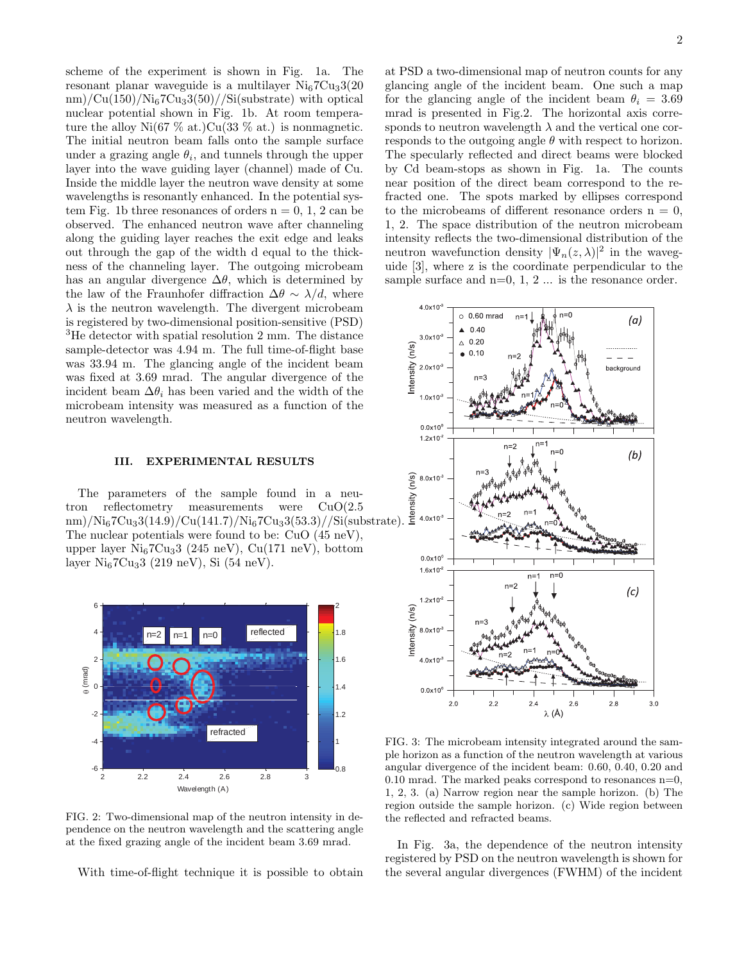scheme of the experiment is shown in Fig. 1a. The resonant planar waveguide is a multilayer  $Ni<sub>6</sub>7Cu<sub>3</sub>3(20)$  $nm)/Cu(150)/Ni<sub>6</sub>7Cu<sub>3</sub>3(50)/Si$ (substrate) with optical nuclear potential shown in Fig. 1b. At room temperature the alloy  $Ni(67\% \text{ at.})Cu(33\% \text{ at.})$  is nonmagnetic. The initial neutron beam falls onto the sample surface under a grazing angle  $\theta_i$ , and tunnels through the upper layer into the wave guiding layer (channel) made of Cu. Inside the middle layer the neutron wave density at some wavelengths is resonantly enhanced. In the potential system Fig. 1b three resonances of orders  $n = 0, 1, 2$  can be observed. The enhanced neutron wave after channeling along the guiding layer reaches the exit edge and leaks out through the gap of the width d equal to the thickness of the channeling layer. The outgoing microbeam has an angular divergence  $\Delta\theta$ , which is determined by the law of the Fraunhofer diffraction  $\Delta\theta \sim \lambda/d$ , where  $\lambda$  is the neutron wavelength. The divergent microbeam is registered by two-dimensional position-sensitive (PSD) <sup>3</sup>He detector with spatial resolution 2 mm. The distance sample-detector was 4.94 m. The full time-of-flight base was 33.94 m. The glancing angle of the incident beam was fixed at 3.69 mrad. The angular divergence of the incident beam  $\Delta\theta_i$  has been varied and the width of the microbeam intensity was measured as a function of the neutron wavelength.

## III. EXPERIMENTAL RESULTS

The parameters of the sample found in a neutron reflectometry measurements were CuO(2.5  $\text{nm})/\text{Ni}_67\text{Cu}_33(14.9)/\text{Cu}(141.7)/\text{Ni}_67\text{Cu}_33(53.3)//\text{Si}(\text{substrate}).$ The nuclear potentials were found to be: CuO (45 neV), upper layer  $Ni<sub>6</sub>7Cu<sub>3</sub>3$  (245 neV), Cu(171 neV), bottom layer  $Ni_67Cu_33$  (219 neV), Si (54 neV).



FIG. 2: Two-dimensional map of the neutron intensity in dependence on the neutron wavelength and the scattering angle at the fixed grazing angle of the incident beam 3.69 mrad.

With time-of-flight technique it is possible to obtain

at PSD a two-dimensional map of neutron counts for any glancing angle of the incident beam. One such a map for the glancing angle of the incident beam  $\theta_i = 3.69$ mrad is presented in Fig.2. The horizontal axis corresponds to neutron wavelength  $\lambda$  and the vertical one corresponds to the outgoing angle  $\theta$  with respect to horizon. The specularly reflected and direct beams were blocked by Cd beam-stops as shown in Fig. 1a. The counts near position of the direct beam correspond to the refracted one. The spots marked by ellipses correspond to the microbeams of different resonance orders  $n = 0$ , 1, 2. The space distribution of the neutron microbeam intensity reflects the two-dimensional distribution of the neutron wavefunction density  $|\Psi_n(z,\lambda)|^2$  in the waveguide [3], where z is the coordinate perpendicular to the sample surface and  $n=0, 1, 2...$  is the resonance order.



FIG. 3: The microbeam intensity integrated around the sample horizon as a function of the neutron wavelength at various angular divergence of the incident beam: 0.60, 0.40, 0.20 and 0.10 mrad. The marked peaks correspond to resonances  $n=0$ , 1, 2, 3. (a) Narrow region near the sample horizon. (b) The region outside the sample horizon. (c) Wide region between the reflected and refracted beams.

In Fig. 3a, the dependence of the neutron intensity registered by PSD on the neutron wavelength is shown for the several angular divergences (FWHM) of the incident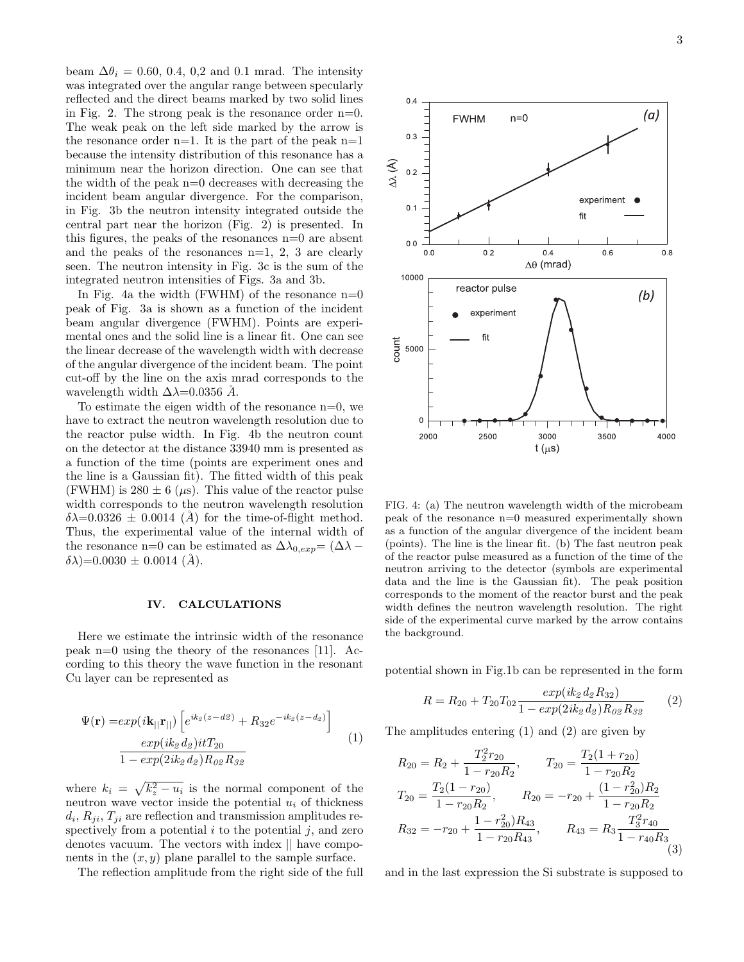beam  $\Delta\theta_i = 0.60, 0.4, 0.2$  and 0.1 mrad. The intensity was integrated over the angular range between specularly reflected and the direct beams marked by two solid lines in Fig. 2. The strong peak is the resonance order n=0. The weak peak on the left side marked by the arrow is the resonance order  $n=1$ . It is the part of the peak  $n=1$ because the intensity distribution of this resonance has a minimum near the horizon direction. One can see that the width of the peak  $n=0$  decreases with decreasing the incident beam angular divergence. For the comparison, in Fig. 3b the neutron intensity integrated outside the central part near the horizon (Fig. 2) is presented. In this figures, the peaks of the resonances  $n=0$  are absent and the peaks of the resonances  $n=1, 2, 3$  are clearly seen. The neutron intensity in Fig. 3c is the sum of the integrated neutron intensities of Figs. 3a and 3b.

In Fig. 4a the width (FWHM) of the resonance  $n=0$ peak of Fig. 3a is shown as a function of the incident beam angular divergence (FWHM). Points are experimental ones and the solid line is a linear fit. One can see the linear decrease of the wavelength width with decrease of the angular divergence of the incident beam. The point cut-off by the line on the axis mrad corresponds to the wavelength width  $\Delta \lambda$ =0.0356 Å.

To estimate the eigen width of the resonance n=0, we have to extract the neutron wavelength resolution due to the reactor pulse width. In Fig. 4b the neutron count on the detector at the distance 33940 mm is presented as a function of the time (points are experiment ones and the line is a Gaussian fit). The fitted width of this peak (FWHM) is  $280 \pm 6$  ( $\mu$ s). This value of the reactor pulse width corresponds to the neutron wavelength resolution  $\delta\lambda$ =0.0326  $\pm$  0.0014 (Å) for the time-of-flight method. Thus, the experimental value of the internal width of the resonance n=0 can be estimated as  $\Delta\lambda_{0,exp} = (\Delta\lambda (\delta \lambda)$ =0.0030 ± 0.0014 (Å).

### IV. CALCULATIONS

Here we estimate the intrinsic width of the resonance peak  $n=0$  using the theory of the resonances [11]. According to this theory the wave function in the resonant Cu layer can be represented as

$$
\Psi(\mathbf{r}) = exp(i\mathbf{k}_{||}\mathbf{r}_{||}) \left[ e^{ik_2(z - d\mathbf{2})} + R_{32}e^{-ik_2(z - d_2)} \right]
$$
  
\n
$$
\frac{exp(ik_2 d_2)itT_{20}}{1 - exp(2ik_2 d_2)R_{02}R_{32}}
$$
\n(1)

where  $k_i = \sqrt{k_z^2 - u_i}$  is the normal component of the neutron wave vector inside the potential  $u_i$  of thickness  $d_i$ ,  $R_{ji}$ ,  $T_{ji}$  are reflection and transmission amplitudes respectively from a potential  $i$  to the potential  $j$ , and zero denotes vacuum. The vectors with index || have components in the  $(x, y)$  plane parallel to the sample surface.

The reflection amplitude from the right side of the full



FIG. 4: (a) The neutron wavelength width of the microbeam peak of the resonance n=0 measured experimentally shown as a function of the angular divergence of the incident beam (points). The line is the linear fit. (b) The fast neutron peak of the reactor pulse measured as a function of the time of the neutron arriving to the detector (symbols are experimental data and the line is the Gaussian fit). The peak position corresponds to the moment of the reactor burst and the peak width defines the neutron wavelength resolution. The right side of the experimental curve marked by the arrow contains the background.

potential shown in Fig.1b can be represented in the form

$$
R = R_{20} + T_{20}T_{02} \frac{exp(ik_2 d_2 R_{32})}{1 - exp(2ik_2 d_2)R_{02}R_{32}} \tag{2}
$$

The amplitudes entering (1) and (2) are given by

$$
R_{20} = R_2 + \frac{T_2^2 r_{20}}{1 - r_{20} R_2}, \qquad T_{20} = \frac{T_2 (1 + r_{20})}{1 - r_{20} R_2}
$$
  
\n
$$
T_{20} = \frac{T_2 (1 - r_{20})}{1 - r_{20} R_2}, \qquad R_{20} = -r_{20} + \frac{(1 - r_{20}^2) R_2}{1 - r_{20} R_2}
$$
  
\n
$$
R_{32} = -r_{20} + \frac{1 - r_{20}^2) R_{43}}{1 - r_{20} R_{43}}, \qquad R_{43} = R_3 \frac{T_3^2 r_{40}}{1 - r_{40} R_3}
$$
  
\n(3)

and in the last expression the Si substrate is supposed to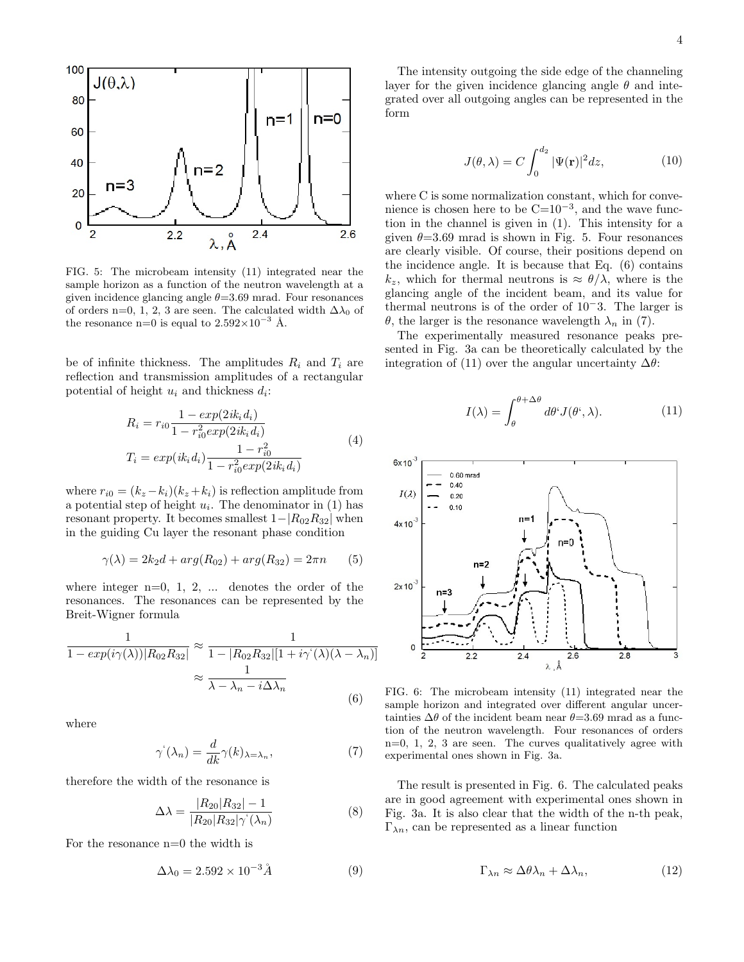

FIG. 5: The microbeam intensity (11) integrated near the sample horizon as a function of the neutron wavelength at a given incidence glancing angle  $\theta = 3.69$  mrad. Four resonances of orders n=0, 1, 2, 3 are seen. The calculated width  $\Delta\lambda_0$  of the resonance n=0 is equal to  $2.592 \times 10^{-3}$  Å.

be of infinite thickness. The amplitudes  $R_i$  and  $T_i$  are reflection and transmission amplitudes of a rectangular potential of height  $u_i$  and thickness  $d_i$ :

$$
R_i = r_{i0} \frac{1 - exp(2ik_i d_i)}{1 - r_{i0}^2 exp(2ik_i d_i)}
$$
  
\n
$$
T_i = exp(ik_i d_i) \frac{1 - r_{i0}^2}{1 - r_{i0}^2 exp(2ik_i d_i)}
$$
\n(4)

where  $r_{i0} = (k_z - k_i)(k_z + k_i)$  is reflection amplitude from a potential step of height  $u_i$ . The denominator in (1) has resonant property. It becomes smallest  $1-|R_{02}R_{32}|$  when in the guiding Cu layer the resonant phase condition

$$
\gamma(\lambda) = 2k_2 d + arg(R_{02}) + arg(R_{32}) = 2\pi n \qquad (5)
$$

where integer  $n=0, 1, 2, \ldots$  denotes the order of the resonances. The resonances can be represented by the Breit-Wigner formula

$$
\frac{1}{1 - exp(i\gamma(\lambda))|R_{02}R_{32}|} \approx \frac{1}{1 - |R_{02}R_{32}|[1 + i\gamma(\lambda)(\lambda - \lambda_n)]}
$$

$$
\approx \frac{1}{\lambda - \lambda_n - i\Delta\lambda_n}
$$
(6)

where

$$
\gamma^{'}(\lambda_n) = \frac{d}{dk}\gamma(k)_{\lambda = \lambda_n},\tag{7}
$$

therefore the width of the resonance is

$$
\Delta\lambda = \frac{|R_{20}|R_{32}| - 1}{|R_{20}|R_{32}|\gamma(\lambda_n)}
$$
(8)

For the resonance n=0 the width is

$$
\Delta\lambda_0 = 2.592 \times 10^{-3} \AA \tag{9}
$$

The intensity outgoing the side edge of the channeling layer for the given incidence glancing angle  $\theta$  and integrated over all outgoing angles can be represented in the form

$$
J(\theta, \lambda) = C \int_0^{d_2} |\Psi(\mathbf{r})|^2 dz,
$$
 (10)

where C is some normalization constant, which for convenience is chosen here to be  $C=10^{-3}$ , and the wave function in the channel is given in (1). This intensity for a given  $\theta = 3.69$  mrad is shown in Fig. 5. Four resonances are clearly visible. Of course, their positions depend on the incidence angle. It is because that Eq. (6) contains  $k_z$ , which for thermal neutrons is  $\approx \theta/\lambda$ , where is the glancing angle of the incident beam, and its value for thermal neutrons is of the order of 10−3. The larger is θ, the larger is the resonance wavelength  $\lambda_n$  in (7).

The experimentally measured resonance peaks presented in Fig. 3a can be theoretically calculated by the integration of (11) over the angular uncertainty  $\Delta\theta$ :

$$
I(\lambda) = \int_{\theta}^{\theta + \Delta \theta} d\theta' J(\theta', \lambda).
$$
 (11)



FIG. 6: The microbeam intensity (11) integrated near the sample horizon and integrated over different angular uncertainties  $\Delta\theta$  of the incident beam near  $\theta$ =3.69 mrad as a function of the neutron wavelength. Four resonances of orders n=0, 1, 2, 3 are seen. The curves qualitatively agree with experimental ones shown in Fig. 3a.

The result is presented in Fig. 6. The calculated peaks are in good agreement with experimental ones shown in Fig. 3a. It is also clear that the width of the n-th peak,  $\Gamma_{\lambda n}$ , can be represented as a linear function

$$
\Gamma_{\lambda n} \approx \Delta \theta \lambda_n + \Delta \lambda_n, \tag{12}
$$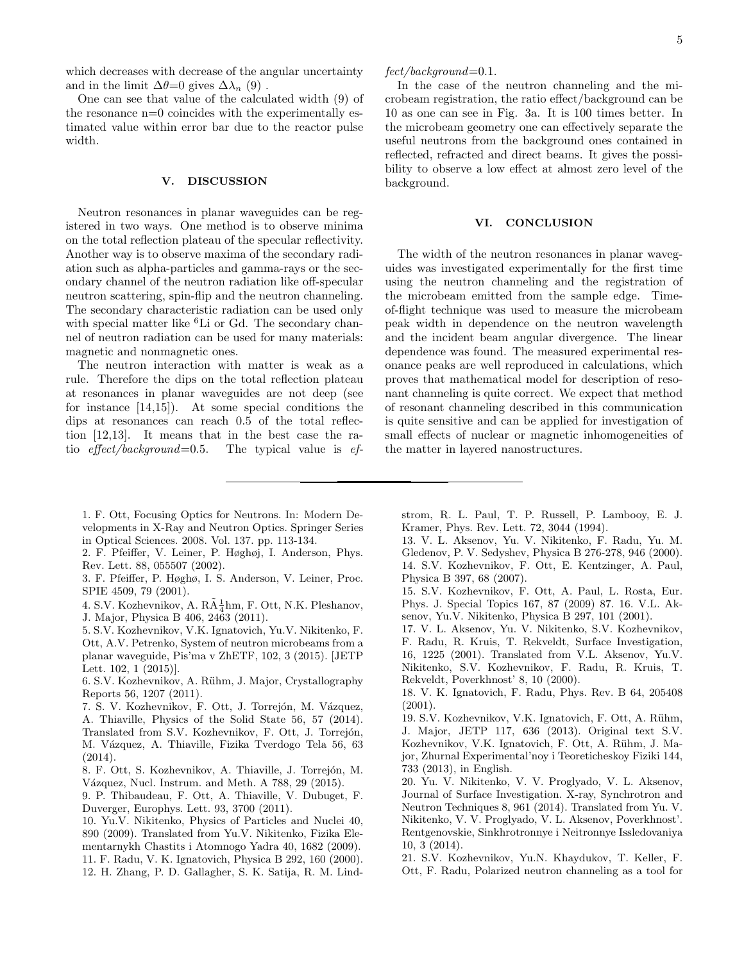which decreases with decrease of the angular uncertainty and in the limit  $\Delta\theta=0$  gives  $\Delta\lambda_n$  (9).

One can see that value of the calculated width (9) of the resonance n=0 coincides with the experimentally estimated value within error bar due to the reactor pulse width.

## V. DISCUSSION

Neutron resonances in planar waveguides can be registered in two ways. One method is to observe minima on the total reflection plateau of the specular reflectivity. Another way is to observe maxima of the secondary radiation such as alpha-particles and gamma-rays or the secondary channel of the neutron radiation like off-specular neutron scattering, spin-flip and the neutron channeling. The secondary characteristic radiation can be used only with special matter like <sup>6</sup>Li or Gd. The secondary channel of neutron radiation can be used for many materials: magnetic and nonmagnetic ones.

The neutron interaction with matter is weak as a rule. Therefore the dips on the total reflection plateau at resonances in planar waveguides are not deep (see for instance [14,15]). At some special conditions the dips at resonances can reach 0.5 of the total reflection [12,13]. It means that in the best case the ratio effect/background=0.5. The typical value is  $ef$ -

- 1. F. Ott, Focusing Optics for Neutrons. In: Modern Developments in X-Ray and Neutron Optics. Springer Series in Optical Sciences. 2008. Vol. 137. pp. 113-134.
- 2. F. Pfeiffer, V. Leiner, P. Høghøj, I. Anderson, Phys. Rev. Lett. 88, 055507 (2002).
- 3. F. Pfeiffer, P. Høghø, I. S. Anderson, V. Leiner, Proc. SPIE 4509, 79 (2001).
- 4. S.V. Kozhevnikov, A. $R\tilde{A}\frac{1}{4}hm,$  F. Ott, N.K. Pleshanov, J. Major, Physica B 406, 2463 (2011).
- 5. S.V. Kozhevnikov, V.K. Ignatovich, Yu.V. Nikitenko, F. Ott, A.V. Petrenko, System of neutron microbeams from a planar waveguide, Pis'ma v ZhETF, 102, 3 (2015). [JETP Lett. 102, 1 (2015)].
- 6. S.V. Kozhevnikov, A. Rühm, J. Major, Crystallography Reports 56, 1207 (2011).
- 7. S. V. Kozhevnikov, F. Ott, J. Torrejón, M. Vázquez, A. Thiaville, Physics of the Solid State 56, 57 (2014). Translated from S.V. Kozhevnikov, F. Ott, J. Torrejón, M. Vázquez, A. Thiaville, Fizika Tverdogo Tela 56, 63 (2014).
- 8. F. Ott, S. Kozhevnikov, A. Thiaville, J. Torrejón, M. Vázquez, Nucl. Instrum. and Meth. A 788, 29 (2015).
- 9. P. Thibaudeau, F. Ott, A. Thiaville, V. Dubuget, F. Duverger, Europhys. Lett. 93, 3700 (2011).
- 10. Yu.V. Nikitenko, Physics of Particles and Nuclei 40, 890 (2009). Translated from Yu.V. Nikitenko, Fizika Elementarnykh Chastits i Atomnogo Yadra 40, 1682 (2009). 11. F. Radu, V. K. Ignatovich, Physica B 292, 160 (2000).
- 12. H. Zhang, P. D. Gallagher, S. K. Satija, R. M. Lind-

 $fect/background=0.1.$ 

In the case of the neutron channeling and the microbeam registration, the ratio effect/background can be 10 as one can see in Fig. 3a. It is 100 times better. In the microbeam geometry one can effectively separate the useful neutrons from the background ones contained in reflected, refracted and direct beams. It gives the possibility to observe a low effect at almost zero level of the background.

### VI. CONCLUSION

The width of the neutron resonances in planar waveguides was investigated experimentally for the first time using the neutron channeling and the registration of the microbeam emitted from the sample edge. Timeof-flight technique was used to measure the microbeam peak width in dependence on the neutron wavelength and the incident beam angular divergence. The linear dependence was found. The measured experimental resonance peaks are well reproduced in calculations, which proves that mathematical model for description of resonant channeling is quite correct. We expect that method of resonant channeling described in this communication is quite sensitive and can be applied for investigation of small effects of nuclear or magnetic inhomogeneities of the matter in layered nanostructures.

- strom, R. L. Paul, T. P. Russell, P. Lambooy, E. J. Kramer, Phys. Rev. Lett. 72, 3044 (1994).
- 13. V. L. Aksenov, Yu. V. Nikitenko, F. Radu, Yu. M. Gledenov, P. V. Sedyshev, Physica B 276-278, 946 (2000). 14. S.V. Kozhevnikov, F. Ott, E. Kentzinger, A. Paul, Physica B 397, 68 (2007).
- 15. S.V. Kozhevnikov, F. Ott, A. Paul, L. Rosta, Eur. Phys. J. Special Topics 167, 87 (2009) 87. 16. V.L. Aksenov, Yu.V. Nikitenko, Physica B 297, 101 (2001).
- 17. V. L. Aksenov, Yu. V. Nikitenko, S.V. Kozhevnikov, F. Radu, R. Kruis, T. Rekveldt, Surface Investigation, 16, 1225 (2001). Translated from V.L. Aksenov, Yu.V. Nikitenko, S.V. Kozhevnikov, F. Radu, R. Kruis, T. Rekveldt, Poverkhnost' 8, 10 (2000).
- 18. V. K. Ignatovich, F. Radu, Phys. Rev. B 64, 205408  $(2001)$
- 19. S.V. Kozhevnikov, V.K. Ignatovich, F. Ott, A. Rühm, J. Major, JETP 117, 636 (2013). Original text S.V. Kozhevnikov, V.K. Ignatovich, F. Ott, A. Rühm, J. Major, Zhurnal Experimental'noy i Teoreticheskoy Fiziki 144, 733 (2013), in English.
- 20. Yu. V. Nikitenko, V. V. Proglyado, V. L. Aksenov, Journal of Surface Investigation. X-ray, Synchrotron and Neutron Techniques 8, 961 (2014). Translated from Yu. V. Nikitenko, V. V. Proglyado, V. L. Aksenov, Poverkhnost'. Rentgenovskie, Sinkhrotronnye i Neitronnye Issledovaniya 10, 3 (2014).
- 21. S.V. Kozhevnikov, Yu.N. Khaydukov, T. Keller, F. Ott, F. Radu, Polarized neutron channeling as a tool for